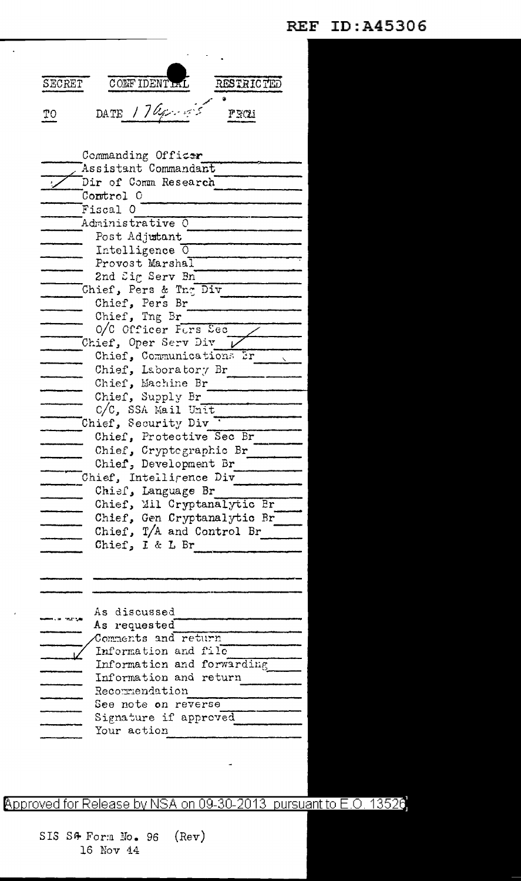**REF ID: A45306** 

| SECRET             | CONFIDENTIAL<br>RESTRICTED                       |
|--------------------|--------------------------------------------------|
| TО                 | DATE 174,<br>FROM                                |
| Commanding Officer |                                                  |
|                    | Assistant Commandant                             |
|                    | Dir of Comm Research                             |
|                    | Control 0                                        |
|                    | Fiscal O                                         |
|                    | Administrative 0                                 |
|                    | Post Adjutant                                    |
|                    | Intelligence $\overline{0}$                      |
|                    | Provost Marshal                                  |
|                    | 2nd Sig Serv Bn                                  |
|                    | Chief, Pers & Tng Div                            |
|                    | Chief, Pers Br                                   |
|                    | Chief, Tng Br                                    |
|                    | O/C Officer Fors Sec                             |
|                    | Chief, Oper Serv Div<br>Chief, Communications Er |
|                    | Chief, Laboratory Br                             |
|                    | Chief, Machine Br                                |
|                    | Chief, Supply Br                                 |
|                    | C/C, SSA Mail Unit                               |
|                    | Chief, Security Div                              |
|                    | Chief, Protective Sec Br                         |
|                    | Chief, Cryptographic Br                          |
|                    | Chief, Development Br                            |
|                    | Chief, Intelligence Div                          |
|                    | Chief, Language Br                               |
|                    | Chief, Mil Cryptanalytic Br                      |
|                    | Chief, Gen Cryptanalytic Br                      |
|                    | Chief, T/A and Control Br                        |
|                    | Chief, I & L Br                                  |
|                    |                                                  |
|                    |                                                  |
|                    |                                                  |
|                    |                                                  |
|                    | As discussed                                     |
|                    | As requested<br>Comments and return              |
|                    | Information and file                             |
|                    | Information and forwarding                       |
|                    | Information and return                           |
|                    | Recommendation                                   |
|                    | See note <b>o</b> n reverse                      |
|                    | Signature if approved                            |
|                    | Your action                                      |
|                    |                                                  |

 $\ddot{\phantom{a}}$ 

Approved for Release by NSA on 09-30-2013 pursuant to E.O. 13526

 $(Rev)$ SIS S& Form No. 96 16 Nov 44